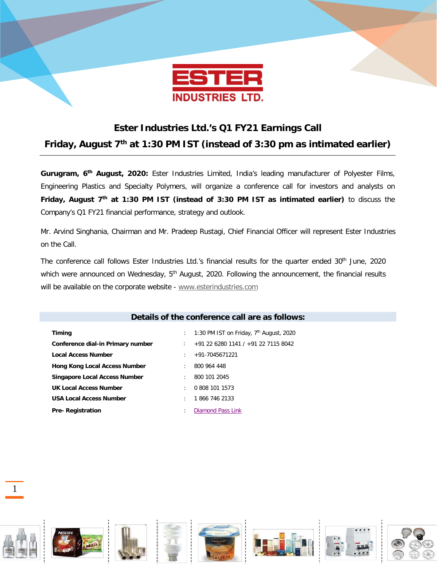

## **Ester Industries Ltd.'s Q1 FY21 Earnings Call**

**Friday, August 7th at 1:30 PM IST (instead of 3:30 pm as intimated earlier)**

**Gurugram, 6th August, 2020:** Ester Industries Limited, India's leading manufacturer of Polyester Films, Engineering Plastics and Specialty Polymers, will organize a conference call for investors and analysts on **Friday, August 7th at 1:30 PM IST (instead of 3:30 PM IST as intimated earlier)** to discuss the Company's Q1 FY21 financial performance, strategy and outlook.

Mr. Arvind Singhania, Chairman and Mr. Pradeep Rustagi, Chief Financial Officer will represent Ester Industries on the Call.

The conference call follows Ester Industries Ltd.'s financial results for the quarter ended 30<sup>th</sup> June, 2020 which were announced on Wednesday, 5<sup>th</sup> August, 2020. Following the announcement, the financial results will be available on the corporate website - [www.esterindustries.com](http://www.esterindustries.com/)

| Details of the conference call are as follows: |                                                 |  |  |
|------------------------------------------------|-------------------------------------------------|--|--|
|                                                |                                                 |  |  |
| Timing                                         | 1:30 PM IST on Friday, $7th$ August, 2020<br>t. |  |  |
| Conference dial-in Primary number              | +91 22 6280 1141 / +91 22 7115 8042             |  |  |
| Local Access Number                            | +91-7045671221<br>$\bullet$                     |  |  |
| <b>Hong Kong Local Access Number</b>           | 800 964 448<br>$\bullet$                        |  |  |
| <b>Singapore Local Access Number</b>           | 800 101 2045<br>$\bullet$                       |  |  |
| UK Local Access Number                         | 0.808 101 1573<br>٠                             |  |  |
| <b>USA Local Access Number</b>                 | 1866 746 2133<br>$\bullet$                      |  |  |
| <b>Pre-Registration</b>                        | Diamond Pass Link<br>٠                          |  |  |

1